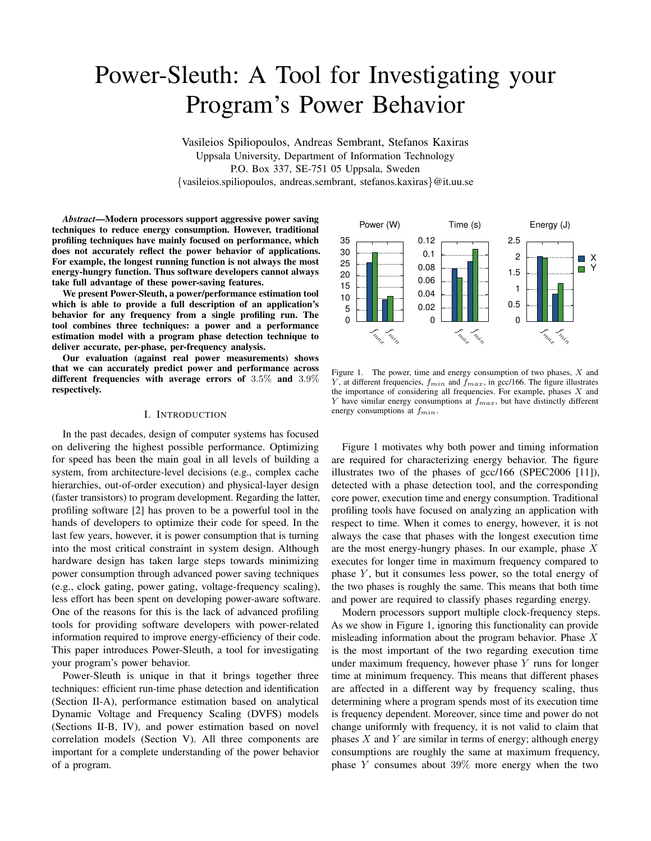# Power-Sleuth: A Tool for Investigating your Program's Power Behavior

Vasileios Spiliopoulos, Andreas Sembrant, Stefanos Kaxiras Uppsala University, Department of Information Technology P.O. Box 337, SE-751 05 Uppsala, Sweden {vasileios.spiliopoulos, andreas.sembrant, stefanos.kaxiras}@it.uu.se

*Abstract*—Modern processors support aggressive power saving techniques to reduce energy consumption. However, traditional profiling techniques have mainly focused on performance, which does not accurately reflect the power behavior of applications. For example, the longest running function is not always the most energy-hungry function. Thus software developers cannot always take full advantage of these power-saving features.

We present Power-Sleuth, a power/performance estimation tool which is able to provide a full description of an application's behavior for any frequency from a single profiling run. The tool combines three techniques: a power and a performance estimation model with a program phase detection technique to deliver accurate, per-phase, per-frequency analysis.

Our evaluation (against real power measurements) shows that we can accurately predict power and performance across different frequencies with average errors of 3.5% and 3.9% respectively.

## I. INTRODUCTION

In the past decades, design of computer systems has focused on delivering the highest possible performance. Optimizing for speed has been the main goal in all levels of building a system, from architecture-level decisions (e.g., complex cache hierarchies, out-of-order execution) and physical-layer design (faster transistors) to program development. Regarding the latter, profiling software [2] has proven to be a powerful tool in the hands of developers to optimize their code for speed. In the last few years, however, it is power consumption that is turning into the most critical constraint in system design. Although hardware design has taken large steps towards minimizing power consumption through advanced power saving techniques (e.g., clock gating, power gating, voltage-frequency scaling), less effort has been spent on developing power-aware software. One of the reasons for this is the lack of advanced profiling tools for providing software developers with power-related information required to improve energy-efficiency of their code. This paper introduces Power-Sleuth, a tool for investigating your program's power behavior.

Power-Sleuth is unique in that it brings together three techniques: efficient run-time phase detection and identification (Section II-A), performance estimation based on analytical Dynamic Voltage and Frequency Scaling (DVFS) models (Sections II-B, IV), and power estimation based on novel correlation models (Section V). All three components are important for a complete understanding of the power behavior of a program.



Figure 1. The power, time and energy consumption of two phases,  $X$  and Y, at different frequencies,  $f_{min}$  and  $f_{max}$ , in gcc/166. The figure illustrates the importance of considering all frequencies. For example, phases  $X$  and Y have similar energy consumptions at  $f_{max}$ , but have distinctly different energy consumptions at  $f_{min}$ .

Figure 1 motivates why both power and timing information are required for characterizing energy behavior. The figure illustrates two of the phases of gcc/166 (SPEC2006 [11]), detected with a phase detection tool, and the corresponding core power, execution time and energy consumption. Traditional profiling tools have focused on analyzing an application with respect to time. When it comes to energy, however, it is not always the case that phases with the longest execution time are the most energy-hungry phases. In our example, phase  $X$ executes for longer time in maximum frequency compared to phase  $Y$ , but it consumes less power, so the total energy of the two phases is roughly the same. This means that both time and power are required to classify phases regarding energy.

Modern processors support multiple clock-frequency steps. As we show in Figure 1, ignoring this functionality can provide misleading information about the program behavior. Phase X is the most important of the two regarding execution time under maximum frequency, however phase  $Y$  runs for longer time at minimum frequency. This means that different phases are affected in a different way by frequency scaling, thus determining where a program spends most of its execution time is frequency dependent. Moreover, since time and power do not change uniformly with frequency, it is not valid to claim that phases  $X$  and  $Y$  are similar in terms of energy; although energy consumptions are roughly the same at maximum frequency, phase  $Y$  consumes about  $39\%$  more energy when the two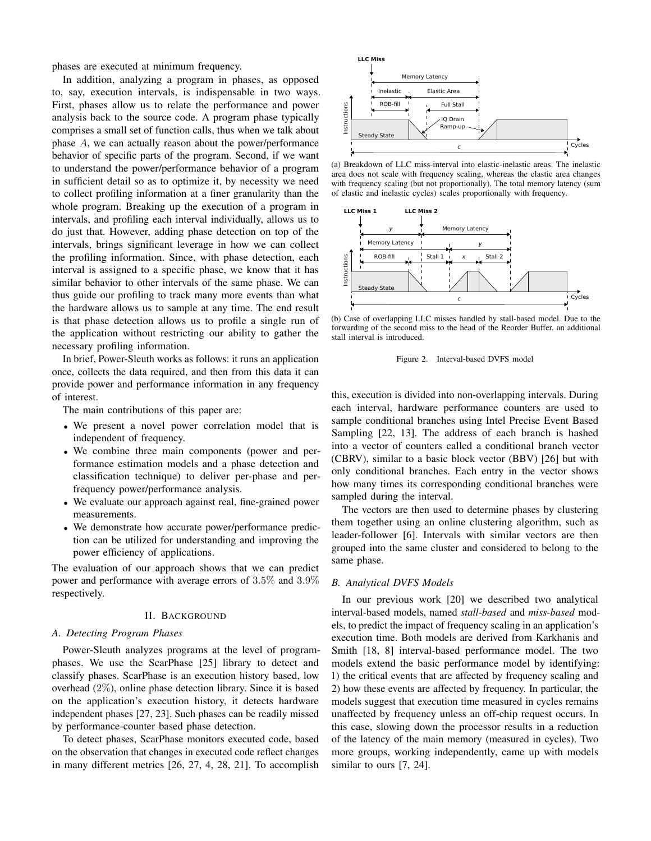phases are executed at minimum frequency.

In addition, analyzing a program in phases, as opposed to, say, execution intervals, is indispensable in two ways. First, phases allow us to relate the performance and power analysis back to the source code. A program phase typically comprises a small set of function calls, thus when we talk about phase A, we can actually reason about the power/performance behavior of specific parts of the program. Second, if we want to understand the power/performance behavior of a program in sufficient detail so as to optimize it, by necessity we need to collect profiling information at a finer granularity than the whole program. Breaking up the execution of a program in intervals, and profiling each interval individually, allows us to do just that. However, adding phase detection on top of the intervals, brings significant leverage in how we can collect the profiling information. Since, with phase detection, each interval is assigned to a specific phase, we know that it has similar behavior to other intervals of the same phase. We can thus guide our profiling to track many more events than what the hardware allows us to sample at any time. The end result is that phase detection allows us to profile a single run of the application without restricting our ability to gather the necessary profiling information.

In brief, Power-Sleuth works as follows: it runs an application once, collects the data required, and then from this data it can provide power and performance information in any frequency of interest.

The main contributions of this paper are:

- We present a novel power correlation model that is independent of frequency.
- We combine three main components (power and performance estimation models and a phase detection and classification technique) to deliver per-phase and perfrequency power/performance analysis.
- We evaluate our approach against real, fine-grained power measurements.
- We demonstrate how accurate power/performance prediction can be utilized for understanding and improving the power efficiency of applications.

The evaluation of our approach shows that we can predict power and performance with average errors of 3.5% and 3.9% respectively.

#### II. BACKGROUND

#### *A. Detecting Program Phases*

Power-Sleuth analyzes programs at the level of programphases. We use the ScarPhase [25] library to detect and classify phases. ScarPhase is an execution history based, low overhead (2%), online phase detection library. Since it is based on the application's execution history, it detects hardware independent phases [27, 23]. Such phases can be readily missed by performance-counter based phase detection.

To detect phases, ScarPhase monitors executed code, based on the observation that changes in executed code reflect changes in many different metrics [26, 27, 4, 28, 21]. To accomplish



(a) Breakdown of LLC miss-interval into elastic-inelastic areas. The inelastic area does not scale with frequency scaling, whereas the elastic area changes with frequency scaling (but not proportionally). The total memory latency (sum of elastic and inelastic cycles) scales proportionally with frequency.



(b) Case of overlapping LLC misses handled by stall-based model. Due to the forwarding of the second miss to the head of the Reorder Buffer, an additional stall interval is introduced.

Figure 2. Interval-based DVFS model

this, execution is divided into non-overlapping intervals. During each interval, hardware performance counters are used to sample conditional branches using Intel Precise Event Based Sampling [22, 13]. The address of each branch is hashed into a vector of counters called a conditional branch vector (CBRV), similar to a basic block vector (BBV) [26] but with only conditional branches. Each entry in the vector shows how many times its corresponding conditional branches were sampled during the interval.

The vectors are then used to determine phases by clustering them together using an online clustering algorithm, such as leader-follower [6]. Intervals with similar vectors are then grouped into the same cluster and considered to belong to the same phase.

## *B. Analytical DVFS Models*

In our previous work [20] we described two analytical interval-based models, named *stall-based* and *miss-based* models, to predict the impact of frequency scaling in an application's execution time. Both models are derived from Karkhanis and Smith [18, 8] interval-based performance model. The two models extend the basic performance model by identifying: 1) the critical events that are affected by frequency scaling and 2) how these events are affected by frequency. In particular, the models suggest that execution time measured in cycles remains unaffected by frequency unless an off-chip request occurs. In this case, slowing down the processor results in a reduction of the latency of the main memory (measured in cycles). Two more groups, working independently, came up with models similar to ours [7, 24].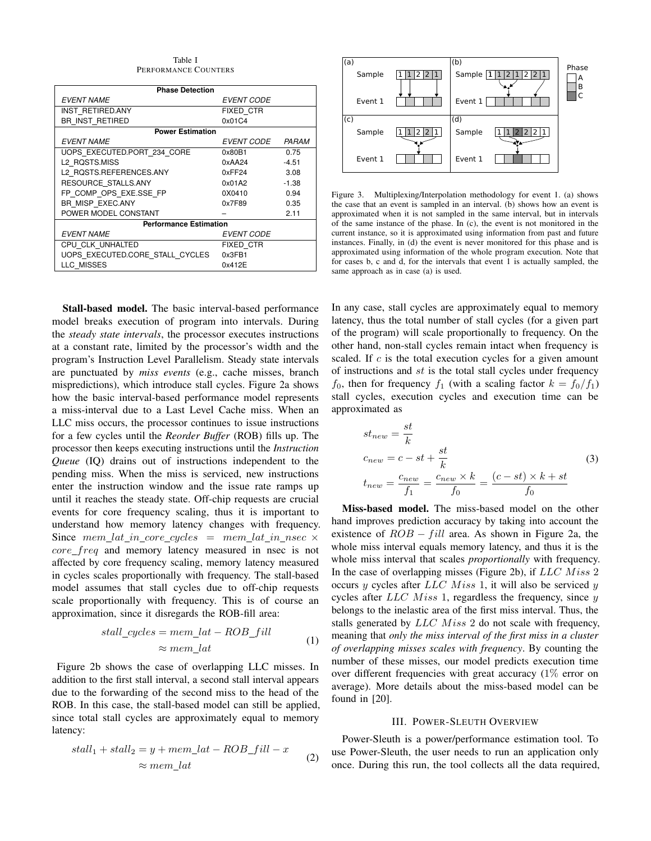Table I PERFORMANCE COUNTERS

| <b>Phase Detection</b>          |                   |         |
|---------------------------------|-------------------|---------|
| <b>FVENT NAME</b>               | <b>EVENT CODE</b> |         |
| INST RETIRED.ANY                | FIXED CTR         |         |
| <b>BR INST RETIRED</b>          | 0x01C4            |         |
| <b>Power Estimation</b>         |                   |         |
| <b>EVENT NAME</b>               | <b>EVENT CODE</b> | PARAM   |
| UOPS EXECUTED.PORT 234 CORE     | 0x80B1            | 0.75    |
| L2 RQSTS.MISS                   | 0xAA24            | $-4.51$ |
| L2 RQSTS.REFERENCES.ANY         | 0xFF24            | 3.08    |
| RESOURCE STALLS.ANY             | 0x01A2            | $-1.38$ |
| FP COMP OPS EXE.SSE FP          | 0X0410            | 0.94    |
| BR MISP EXEC.ANY                | 0x7F89            | 0.35    |
| POWER MODEL CONSTANT            |                   | 2.11    |
| <b>Performance Estimation</b>   |                   |         |
| <b>EVENT NAME</b>               | <b>EVENT CODE</b> |         |
| CPU CLK UNHALTED                | FIXED CTR         |         |
| UOPS EXECUTED.CORE STALL CYCLES | 0x3FB1            |         |
| LLC MISSES                      | 0x412E            |         |

Stall-based model. The basic interval-based performance model breaks execution of program into intervals. During the *steady state intervals*, the processor executes instructions at a constant rate, limited by the processor's width and the program's Instruction Level Parallelism. Steady state intervals are punctuated by *miss events* (e.g., cache misses, branch mispredictions), which introduce stall cycles. Figure 2a shows how the basic interval-based performance model represents a miss-interval due to a Last Level Cache miss. When an LLC miss occurs, the processor continues to issue instructions for a few cycles until the *Reorder Buffer* (ROB) fills up. The processor then keeps executing instructions until the *Instruction Queue* (IQ) drains out of instructions independent to the pending miss. When the miss is serviced, new instructions enter the instruction window and the issue rate ramps up until it reaches the steady state. Off-chip requests are crucial events for core frequency scaling, thus it is important to understand how memory latency changes with frequency. Since  $mem\_lat\_in\_core\_cycles = mem\_lat\_in\_nsec \times$ core\_freq and memory latency measured in nsec is not affected by core frequency scaling, memory latency measured in cycles scales proportionally with frequency. The stall-based model assumes that stall cycles due to off-chip requests scale proportionally with frequency. This is of course an approximation, since it disregards the ROB-fill area:

$$
stall\_cycles = mem\_lat - ROB\_fill
$$
  

$$
\approx mem\_lat
$$
 (1)

Figure 2b shows the case of overlapping LLC misses. In addition to the first stall interval, a second stall interval appears due to the forwarding of the second miss to the head of the ROB. In this case, the stall-based model can still be applied, since total stall cycles are approximately equal to memory latency:

$$
stall1 + stall2 = y + mem_lat - ROB_fill - x
$$
  

$$
\approx mem_lat
$$
 (2)



Figure 3. Multiplexing/Interpolation methodology for event 1. (a) shows the case that an event is sampled in an interval. (b) shows how an event is approximated when it is not sampled in the same interval, but in intervals of the same instance of the phase. In (c), the event is not monitored in the current instance, so it is approximated using information from past and future instances. Finally, in (d) the event is never monitored for this phase and is approximated using information of the whole program execution. Note that for cases b, c and d, for the intervals that event 1 is actually sampled, the same approach as in case (a) is used.

In any case, stall cycles are approximately equal to memory latency, thus the total number of stall cycles (for a given part of the program) will scale proportionally to frequency. On the other hand, non-stall cycles remain intact when frequency is scaled. If  $c$  is the total execution cycles for a given amount of instructions and  $st$  is the total stall cycles under frequency  $f_0$ , then for frequency  $f_1$  (with a scaling factor  $k = f_0/f_1$ ) stall cycles, execution cycles and execution time can be approximated as

$$
st_{new} = \frac{st}{k}
$$
  
\n
$$
c_{new} = c - st + \frac{st}{k}
$$
  
\n
$$
t_{new} = \frac{c_{new}}{f_1} = \frac{c_{new} \times k}{f_0} = \frac{(c - st) \times k + st}{f_0}
$$
\n(3)

Miss-based model. The miss-based model on the other hand improves prediction accuracy by taking into account the existence of  $ROB - fill$  area. As shown in Figure 2a, the whole miss interval equals memory latency, and thus it is the whole miss interval that scales *proportionally* with frequency. In the case of overlapping misses (Figure 2b), if  $LLC$   $Miss$   $2$ occurs y cycles after  $LLC$  M iss 1, it will also be serviced y cycles after  $LLC$  M iss 1, regardless the frequency, since  $y$ belongs to the inelastic area of the first miss interval. Thus, the stalls generated by  $LLC$   $Miss$   $2$  do not scale with frequency, meaning that *only the miss interval of the first miss in a cluster of overlapping misses scales with frequency*. By counting the number of these misses, our model predicts execution time over different frequencies with great accuracy (1% error on average). More details about the miss-based model can be found in [20].

## III. POWER-SLEUTH OVERVIEW

Power-Sleuth is a power/performance estimation tool. To use Power-Sleuth, the user needs to run an application only once. During this run, the tool collects all the data required,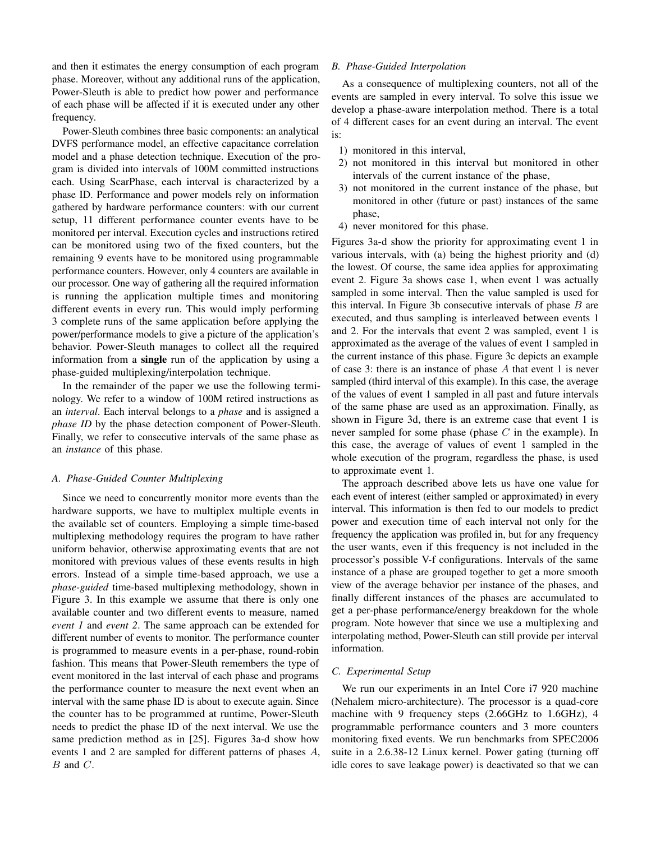and then it estimates the energy consumption of each program phase. Moreover, without any additional runs of the application, Power-Sleuth is able to predict how power and performance of each phase will be affected if it is executed under any other frequency.

Power-Sleuth combines three basic components: an analytical DVFS performance model, an effective capacitance correlation model and a phase detection technique. Execution of the program is divided into intervals of 100M committed instructions each. Using ScarPhase, each interval is characterized by a phase ID. Performance and power models rely on information gathered by hardware performance counters: with our current setup, 11 different performance counter events have to be monitored per interval. Execution cycles and instructions retired can be monitored using two of the fixed counters, but the remaining 9 events have to be monitored using programmable performance counters. However, only 4 counters are available in our processor. One way of gathering all the required information is running the application multiple times and monitoring different events in every run. This would imply performing 3 complete runs of the same application before applying the power/performance models to give a picture of the application's behavior. Power-Sleuth manages to collect all the required information from a **single** run of the application by using a phase-guided multiplexing/interpolation technique.

In the remainder of the paper we use the following terminology. We refer to a window of 100M retired instructions as an *interval*. Each interval belongs to a *phase* and is assigned a *phase ID* by the phase detection component of Power-Sleuth. Finally, we refer to consecutive intervals of the same phase as an *instance* of this phase.

## *A. Phase-Guided Counter Multiplexing*

Since we need to concurrently monitor more events than the hardware supports, we have to multiplex multiple events in the available set of counters. Employing a simple time-based multiplexing methodology requires the program to have rather uniform behavior, otherwise approximating events that are not monitored with previous values of these events results in high errors. Instead of a simple time-based approach, we use a *phase-guided* time-based multiplexing methodology, shown in Figure 3. In this example we assume that there is only one available counter and two different events to measure, named *event 1* and *event 2*. The same approach can be extended for different number of events to monitor. The performance counter is programmed to measure events in a per-phase, round-robin fashion. This means that Power-Sleuth remembers the type of event monitored in the last interval of each phase and programs the performance counter to measure the next event when an interval with the same phase ID is about to execute again. Since the counter has to be programmed at runtime, Power-Sleuth needs to predict the phase ID of the next interval. We use the same prediction method as in [25]. Figures 3a-d show how events 1 and 2 are sampled for different patterns of phases A,  $B$  and  $C$ .

#### *B. Phase-Guided Interpolation*

As a consequence of multiplexing counters, not all of the events are sampled in every interval. To solve this issue we develop a phase-aware interpolation method. There is a total of 4 different cases for an event during an interval. The event is:

- 1) monitored in this interval,
- 2) not monitored in this interval but monitored in other intervals of the current instance of the phase,
- 3) not monitored in the current instance of the phase, but monitored in other (future or past) instances of the same phase,
- 4) never monitored for this phase.

Figures 3a-d show the priority for approximating event 1 in various intervals, with (a) being the highest priority and (d) the lowest. Of course, the same idea applies for approximating event 2. Figure 3a shows case 1, when event 1 was actually sampled in some interval. Then the value sampled is used for this interval. In Figure 3b consecutive intervals of phase  $B$  are executed, and thus sampling is interleaved between events 1 and 2. For the intervals that event 2 was sampled, event 1 is approximated as the average of the values of event 1 sampled in the current instance of this phase. Figure 3c depicts an example of case 3: there is an instance of phase  $A$  that event 1 is never sampled (third interval of this example). In this case, the average of the values of event 1 sampled in all past and future intervals of the same phase are used as an approximation. Finally, as shown in Figure 3d, there is an extreme case that event 1 is never sampled for some phase (phase  $C$  in the example). In this case, the average of values of event 1 sampled in the whole execution of the program, regardless the phase, is used to approximate event 1.

The approach described above lets us have one value for each event of interest (either sampled or approximated) in every interval. This information is then fed to our models to predict power and execution time of each interval not only for the frequency the application was profiled in, but for any frequency the user wants, even if this frequency is not included in the processor's possible V-f configurations. Intervals of the same instance of a phase are grouped together to get a more smooth view of the average behavior per instance of the phases, and finally different instances of the phases are accumulated to get a per-phase performance/energy breakdown for the whole program. Note however that since we use a multiplexing and interpolating method, Power-Sleuth can still provide per interval information.

# *C. Experimental Setup*

We run our experiments in an Intel Core i7 920 machine (Nehalem micro-architecture). The processor is a quad-core machine with 9 frequency steps (2.66GHz to 1.6GHz), 4 programmable performance counters and 3 more counters monitoring fixed events. We run benchmarks from SPEC2006 suite in a 2.6.38-12 Linux kernel. Power gating (turning off idle cores to save leakage power) is deactivated so that we can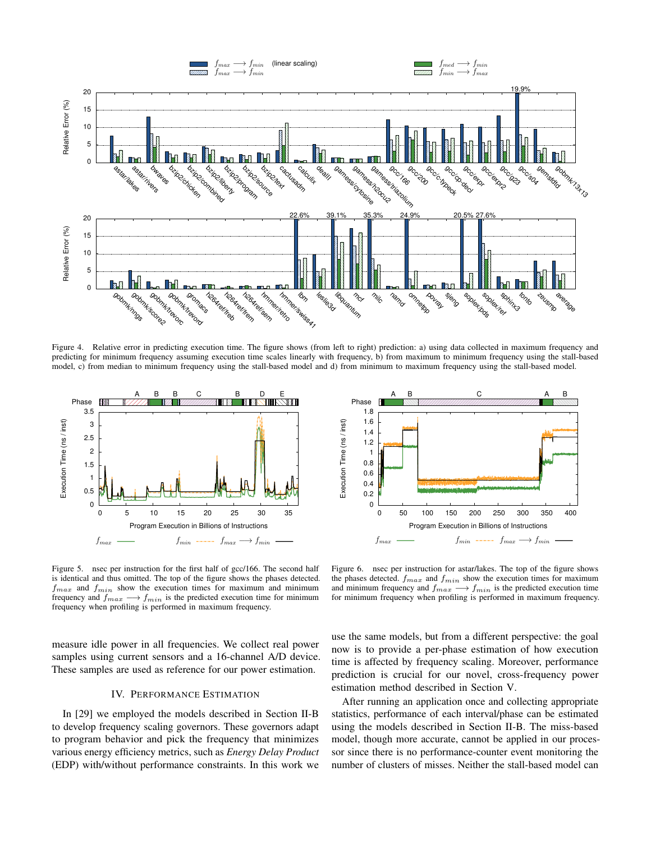

Figure 4. Relative error in predicting execution time. The figure shows (from left to right) prediction: a) using data collected in maximum frequency and predicting for minimum frequency assuming execution time scales linearly with frequency, b) from maximum to minimum frequency using the stall-based model, c) from median to minimum frequency using the stall-based model and d) from minimum to maximum frequency using the stall-based model.



Figure 5. nsec per instruction for the first half of gcc/166. The second half is identical and thus omitted. The top of the figure shows the phases detected.  $f_{max}$  and  $f_{min}$  show the execution times for maximum and minimum frequency and  $f_{max} \longrightarrow f_{min}$  is the predicted execution time for minimum frequency when profiling is performed in maximum frequency.

measure idle power in all frequencies. We collect real power samples using current sensors and a 16-channel A/D device. These samples are used as reference for our power estimation.

# IV. PERFORMANCE ESTIMATION

In [29] we employed the models described in Section II-B to develop frequency scaling governors. These governors adapt to program behavior and pick the frequency that minimizes various energy efficiency metrics, such as *Energy Delay Product* (EDP) with/without performance constraints. In this work we



Figure 6. nsec per instruction for astar/lakes. The top of the figure shows the phases detected.  $f_{max}$  and  $f_{min}$  show the execution times for maximum and minimum frequency and  $f_{max} \longrightarrow f_{min}$  is the predicted execution time for minimum frequency when profiling is performed in maximum frequency.

use the same models, but from a different perspective: the goal now is to provide a per-phase estimation of how execution time is affected by frequency scaling. Moreover, performance prediction is crucial for our novel, cross-frequency power estimation method described in Section V.

After running an application once and collecting appropriate statistics, performance of each interval/phase can be estimated using the models described in Section II-B. The miss-based model, though more accurate, cannot be applied in our processor since there is no performance-counter event monitoring the number of clusters of misses. Neither the stall-based model can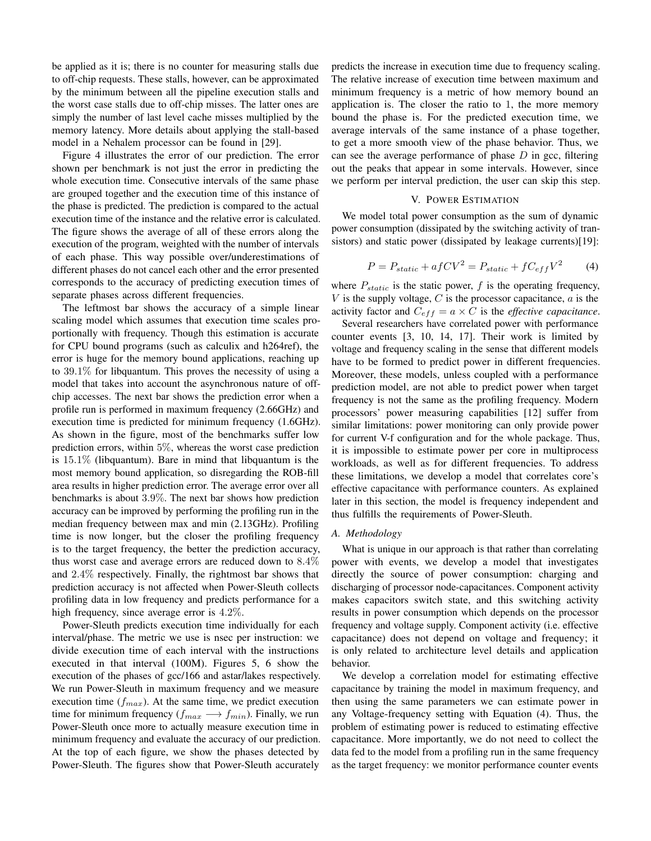be applied as it is; there is no counter for measuring stalls due to off-chip requests. These stalls, however, can be approximated by the minimum between all the pipeline execution stalls and the worst case stalls due to off-chip misses. The latter ones are simply the number of last level cache misses multiplied by the memory latency. More details about applying the stall-based model in a Nehalem processor can be found in [29].

Figure 4 illustrates the error of our prediction. The error shown per benchmark is not just the error in predicting the whole execution time. Consecutive intervals of the same phase are grouped together and the execution time of this instance of the phase is predicted. The prediction is compared to the actual execution time of the instance and the relative error is calculated. The figure shows the average of all of these errors along the execution of the program, weighted with the number of intervals of each phase. This way possible over/underestimations of different phases do not cancel each other and the error presented corresponds to the accuracy of predicting execution times of separate phases across different frequencies.

The leftmost bar shows the accuracy of a simple linear scaling model which assumes that execution time scales proportionally with frequency. Though this estimation is accurate for CPU bound programs (such as calculix and h264ref), the error is huge for the memory bound applications, reaching up to 39.1% for libquantum. This proves the necessity of using a model that takes into account the asynchronous nature of offchip accesses. The next bar shows the prediction error when a profile run is performed in maximum frequency (2.66GHz) and execution time is predicted for minimum frequency (1.6GHz). As shown in the figure, most of the benchmarks suffer low prediction errors, within 5%, whereas the worst case prediction is 15.1% (libquantum). Bare in mind that libquantum is the most memory bound application, so disregarding the ROB-fill area results in higher prediction error. The average error over all benchmarks is about 3.9%. The next bar shows how prediction accuracy can be improved by performing the profiling run in the median frequency between max and min (2.13GHz). Profiling time is now longer, but the closer the profiling frequency is to the target frequency, the better the prediction accuracy, thus worst case and average errors are reduced down to 8.4% and 2.4% respectively. Finally, the rightmost bar shows that prediction accuracy is not affected when Power-Sleuth collects profiling data in low frequency and predicts performance for a high frequency, since average error is 4.2%.

Power-Sleuth predicts execution time individually for each interval/phase. The metric we use is nsec per instruction: we divide execution time of each interval with the instructions executed in that interval (100M). Figures 5, 6 show the execution of the phases of gcc/166 and astar/lakes respectively. We run Power-Sleuth in maximum frequency and we measure execution time  $(f_{max})$ . At the same time, we predict execution time for minimum frequency ( $f_{max} \longrightarrow f_{min}$ ). Finally, we run Power-Sleuth once more to actually measure execution time in minimum frequency and evaluate the accuracy of our prediction. At the top of each figure, we show the phases detected by Power-Sleuth. The figures show that Power-Sleuth accurately

predicts the increase in execution time due to frequency scaling. The relative increase of execution time between maximum and minimum frequency is a metric of how memory bound an application is. The closer the ratio to 1, the more memory bound the phase is. For the predicted execution time, we average intervals of the same instance of a phase together, to get a more smooth view of the phase behavior. Thus, we can see the average performance of phase  $D$  in gcc, filtering out the peaks that appear in some intervals. However, since we perform per interval prediction, the user can skip this step.

# V. POWER ESTIMATION

We model total power consumption as the sum of dynamic power consumption (dissipated by the switching activity of transistors) and static power (dissipated by leakage currents)[19]:

$$
P = P_{static} + a f C V^2 = P_{static} + f C_{eff} V^2
$$
 (4)

where  $P_{static}$  is the static power,  $f$  is the operating frequency, V is the supply voltage, C is the processor capacitance,  $a$  is the activity factor and  $C_{eff} = a \times C$  is the *effective capacitance*.

Several researchers have correlated power with performance counter events [3, 10, 14, 17]. Their work is limited by voltage and frequency scaling in the sense that different models have to be formed to predict power in different frequencies. Moreover, these models, unless coupled with a performance prediction model, are not able to predict power when target frequency is not the same as the profiling frequency. Modern processors' power measuring capabilities [12] suffer from similar limitations: power monitoring can only provide power for current V-f configuration and for the whole package. Thus, it is impossible to estimate power per core in multiprocess workloads, as well as for different frequencies. To address these limitations, we develop a model that correlates core's effective capacitance with performance counters. As explained later in this section, the model is frequency independent and thus fulfills the requirements of Power-Sleuth.

# *A. Methodology*

What is unique in our approach is that rather than correlating power with events, we develop a model that investigates directly the source of power consumption: charging and discharging of processor node-capacitances. Component activity makes capacitors switch state, and this switching activity results in power consumption which depends on the processor frequency and voltage supply. Component activity (i.e. effective capacitance) does not depend on voltage and frequency; it is only related to architecture level details and application behavior.

We develop a correlation model for estimating effective capacitance by training the model in maximum frequency, and then using the same parameters we can estimate power in any Voltage-frequency setting with Equation (4). Thus, the problem of estimating power is reduced to estimating effective capacitance. More importantly, we do not need to collect the data fed to the model from a profiling run in the same frequency as the target frequency: we monitor performance counter events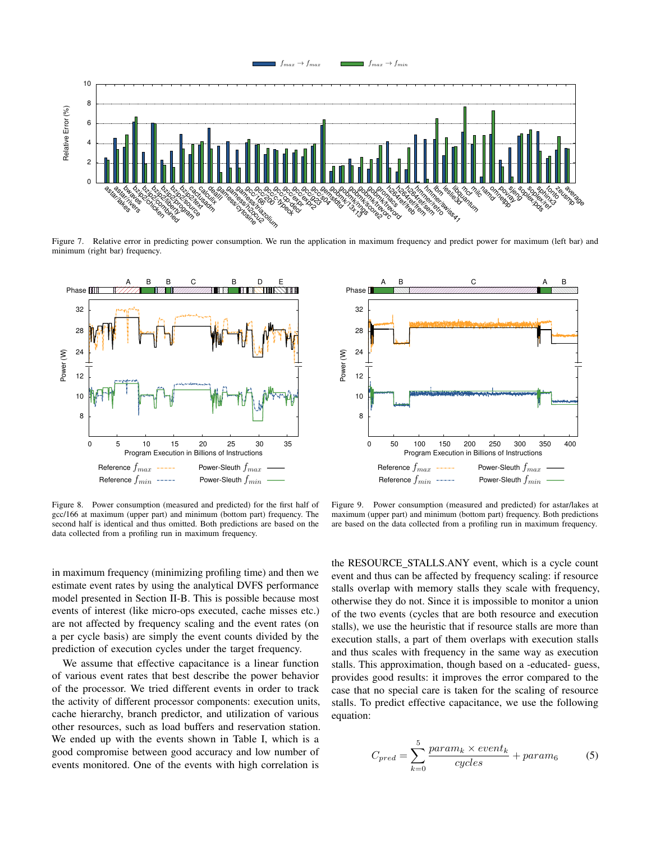

Figure 7. Relative error in predicting power consumption. We run the application in maximum frequency and predict power for maximum (left bar) and minimum (right bar) frequency.





Figure 8. Power consumption (measured and predicted) for the first half of gcc/166 at maximum (upper part) and minimum (bottom part) frequency. The second half is identical and thus omitted. Both predictions are based on the data collected from a profiling run in maximum frequency.

Figure 9. Power consumption (measured and predicted) for astar/lakes at maximum (upper part) and minimum (bottom part) frequency. Both predictions are based on the data collected from a profiling run in maximum frequency.

in maximum frequency (minimizing profiling time) and then we estimate event rates by using the analytical DVFS performance model presented in Section II-B. This is possible because most events of interest (like micro-ops executed, cache misses etc.) are not affected by frequency scaling and the event rates (on a per cycle basis) are simply the event counts divided by the prediction of execution cycles under the target frequency.

We assume that effective capacitance is a linear function of various event rates that best describe the power behavior of the processor. We tried different events in order to track the activity of different processor components: execution units, cache hierarchy, branch predictor, and utilization of various other resources, such as load buffers and reservation station. We ended up with the events shown in Table I, which is a good compromise between good accuracy and low number of events monitored. One of the events with high correlation is

the RESOURCE STALLS.ANY event, which is a cycle count event and thus can be affected by frequency scaling: if resource stalls overlap with memory stalls they scale with frequency, otherwise they do not. Since it is impossible to monitor a union of the two events (cycles that are both resource and execution stalls), we use the heuristic that if resource stalls are more than execution stalls, a part of them overlaps with execution stalls and thus scales with frequency in the same way as execution stalls. This approximation, though based on a -educated- guess, provides good results: it improves the error compared to the case that no special care is taken for the scaling of resource stalls. To predict effective capacitance, we use the following equation:

$$
C_{pred} = \sum_{k=0}^{5} \frac{param_k \times event_k}{cycles} + param_6 \tag{5}
$$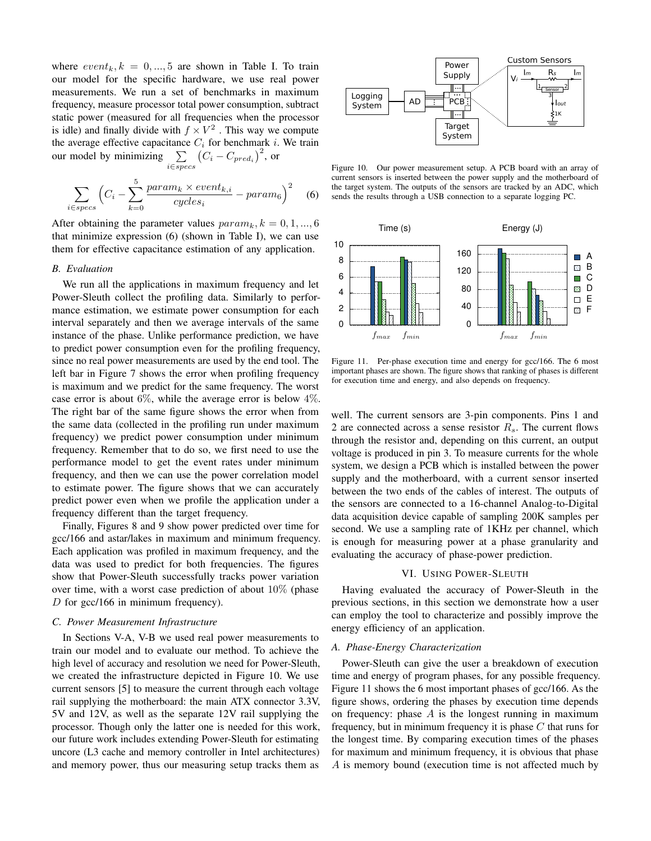where  $event_k, k = 0, ..., 5$  are shown in Table I. To train our model for the specific hardware, we use real power measurements. We run a set of benchmarks in maximum frequency, measure processor total power consumption, subtract static power (measured for all frequencies when the processor is idle) and finally divide with  $f \times V^2$ . This way we compute the average effective capacitance  $C_i$  for benchmark i. We train our model by minimizing  $\sum_{i \in species}$  $(C_i - C_{pred_i})^2$ , or

$$
\sum_{i \in specs} \left( C_i - \sum_{k=0}^{5} \frac{param_k \times event_{k,i}}{cycles_i} - param_6 \right)^2 \tag{6}
$$

After obtaining the parameter values  $param_k, k = 0, 1, ..., 6$ that minimize expression (6) (shown in Table I), we can use them for effective capacitance estimation of any application.

### *B. Evaluation*

We run all the applications in maximum frequency and let Power-Sleuth collect the profiling data. Similarly to performance estimation, we estimate power consumption for each interval separately and then we average intervals of the same instance of the phase. Unlike performance prediction, we have to predict power consumption even for the profiling frequency, since no real power measurements are used by the end tool. The left bar in Figure 7 shows the error when profiling frequency is maximum and we predict for the same frequency. The worst case error is about  $6\%$ , while the average error is below  $4\%$ . The right bar of the same figure shows the error when from the same data (collected in the profiling run under maximum frequency) we predict power consumption under minimum frequency. Remember that to do so, we first need to use the performance model to get the event rates under minimum frequency, and then we can use the power correlation model to estimate power. The figure shows that we can accurately predict power even when we profile the application under a frequency different than the target frequency.

Finally, Figures 8 and 9 show power predicted over time for gcc/166 and astar/lakes in maximum and minimum frequency. Each application was profiled in maximum frequency, and the data was used to predict for both frequencies. The figures show that Power-Sleuth successfully tracks power variation over time, with a worst case prediction of about 10% (phase D for gcc/166 in minimum frequency).

#### *C. Power Measurement Infrastructure*

In Sections V-A, V-B we used real power measurements to train our model and to evaluate our method. To achieve the high level of accuracy and resolution we need for Power-Sleuth, we created the infrastructure depicted in Figure 10. We use current sensors [5] to measure the current through each voltage rail supplying the motherboard: the main ATX connector 3.3V, 5V and 12V, as well as the separate 12V rail supplying the processor. Though only the latter one is needed for this work, our future work includes extending Power-Sleuth for estimating uncore (L3 cache and memory controller in Intel architectures) and memory power, thus our measuring setup tracks them as



Figure 10. Our power measurement setup. A PCB board with an array of current sensors is inserted between the power supply and the motherboard of the target system. The outputs of the sensors are tracked by an ADC, which sends the results through a USB connection to a separate logging PC.



Figure 11. Per-phase execution time and energy for gcc/166. The 6 most important phases are shown. The figure shows that ranking of phases is different for execution time and energy, and also depends on frequency.

well. The current sensors are 3-pin components. Pins 1 and 2 are connected across a sense resistor  $R_s$ . The current flows through the resistor and, depending on this current, an output voltage is produced in pin 3. To measure currents for the whole system, we design a PCB which is installed between the power supply and the motherboard, with a current sensor inserted between the two ends of the cables of interest. The outputs of the sensors are connected to a 16-channel Analog-to-Digital data acquisition device capable of sampling 200K samples per second. We use a sampling rate of 1KHz per channel, which is enough for measuring power at a phase granularity and evaluating the accuracy of phase-power prediction.

#### VI. USING POWER-SLEUTH

Having evaluated the accuracy of Power-Sleuth in the previous sections, in this section we demonstrate how a user can employ the tool to characterize and possibly improve the energy efficiency of an application.

# *A. Phase-Energy Characterization*

Power-Sleuth can give the user a breakdown of execution time and energy of program phases, for any possible frequency. Figure 11 shows the 6 most important phases of gcc/166. As the figure shows, ordering the phases by execution time depends on frequency: phase  $A$  is the longest running in maximum frequency, but in minimum frequency it is phase  $C$  that runs for the longest time. By comparing execution times of the phases for maximum and minimum frequency, it is obvious that phase A is memory bound (execution time is not affected much by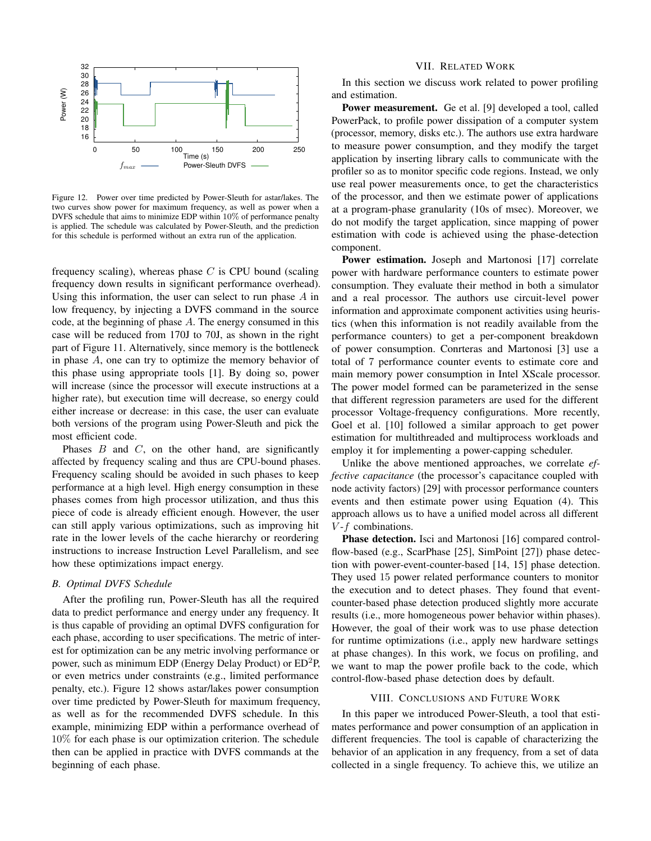

Figure 12. Power over time predicted by Power-Sleuth for astar/lakes. The two curves show power for maximum frequency, as well as power when a DVFS schedule that aims to minimize EDP within 10% of performance penalty is applied. The schedule was calculated by Power-Sleuth, and the prediction for this schedule is performed without an extra run of the application.

frequency scaling), whereas phase  $C$  is CPU bound (scaling frequency down results in significant performance overhead). Using this information, the user can select to run phase A in low frequency, by injecting a DVFS command in the source code, at the beginning of phase A. The energy consumed in this case will be reduced from 170J to 70J, as shown in the right part of Figure 11. Alternatively, since memory is the bottleneck in phase A, one can try to optimize the memory behavior of this phase using appropriate tools [1]. By doing so, power will increase (since the processor will execute instructions at a higher rate), but execution time will decrease, so energy could either increase or decrease: in this case, the user can evaluate both versions of the program using Power-Sleuth and pick the most efficient code.

Phases  $B$  and  $C$ , on the other hand, are significantly affected by frequency scaling and thus are CPU-bound phases. Frequency scaling should be avoided in such phases to keep performance at a high level. High energy consumption in these phases comes from high processor utilization, and thus this piece of code is already efficient enough. However, the user can still apply various optimizations, such as improving hit rate in the lower levels of the cache hierarchy or reordering instructions to increase Instruction Level Parallelism, and see how these optimizations impact energy.

### *B. Optimal DVFS Schedule*

After the profiling run, Power-Sleuth has all the required data to predict performance and energy under any frequency. It is thus capable of providing an optimal DVFS configuration for each phase, according to user specifications. The metric of interest for optimization can be any metric involving performance or power, such as minimum EDP (Energy Delay Product) or ED<sup>2</sup>P, or even metrics under constraints (e.g., limited performance penalty, etc.). Figure 12 shows astar/lakes power consumption over time predicted by Power-Sleuth for maximum frequency, as well as for the recommended DVFS schedule. In this example, minimizing EDP within a performance overhead of 10% for each phase is our optimization criterion. The schedule then can be applied in practice with DVFS commands at the beginning of each phase.

#### VII. RELATED WORK

In this section we discuss work related to power profiling and estimation.

Power measurement. Ge et al. [9] developed a tool, called PowerPack, to profile power dissipation of a computer system (processor, memory, disks etc.). The authors use extra hardware to measure power consumption, and they modify the target application by inserting library calls to communicate with the profiler so as to monitor specific code regions. Instead, we only use real power measurements once, to get the characteristics of the processor, and then we estimate power of applications at a program-phase granularity (10s of msec). Moreover, we do not modify the target application, since mapping of power estimation with code is achieved using the phase-detection component.

Power estimation. Joseph and Martonosi [17] correlate power with hardware performance counters to estimate power consumption. They evaluate their method in both a simulator and a real processor. The authors use circuit-level power information and approximate component activities using heuristics (when this information is not readily available from the performance counters) to get a per-component breakdown of power consumption. Conrteras and Martonosi [3] use a total of 7 performance counter events to estimate core and main memory power consumption in Intel XScale processor. The power model formed can be parameterized in the sense that different regression parameters are used for the different processor Voltage-frequency configurations. More recently, Goel et al. [10] followed a similar approach to get power estimation for multithreaded and multiprocess workloads and employ it for implementing a power-capping scheduler.

Unlike the above mentioned approaches, we correlate *effective capacitance* (the processor's capacitance coupled with node activity factors) [29] with processor performance counters events and then estimate power using Equation (4). This approach allows us to have a unified model across all different  $V-f$  combinations.

Phase detection. Isci and Martonosi [16] compared controlflow-based (e.g., ScarPhase [25], SimPoint [27]) phase detection with power-event-counter-based [14, 15] phase detection. They used 15 power related performance counters to monitor the execution and to detect phases. They found that eventcounter-based phase detection produced slightly more accurate results (i.e., more homogeneous power behavior within phases). However, the goal of their work was to use phase detection for runtime optimizations (i.e., apply new hardware settings at phase changes). In this work, we focus on profiling, and we want to map the power profile back to the code, which control-flow-based phase detection does by default.

#### VIII. CONCLUSIONS AND FUTURE WORK

In this paper we introduced Power-Sleuth, a tool that estimates performance and power consumption of an application in different frequencies. The tool is capable of characterizing the behavior of an application in any frequency, from a set of data collected in a single frequency. To achieve this, we utilize an